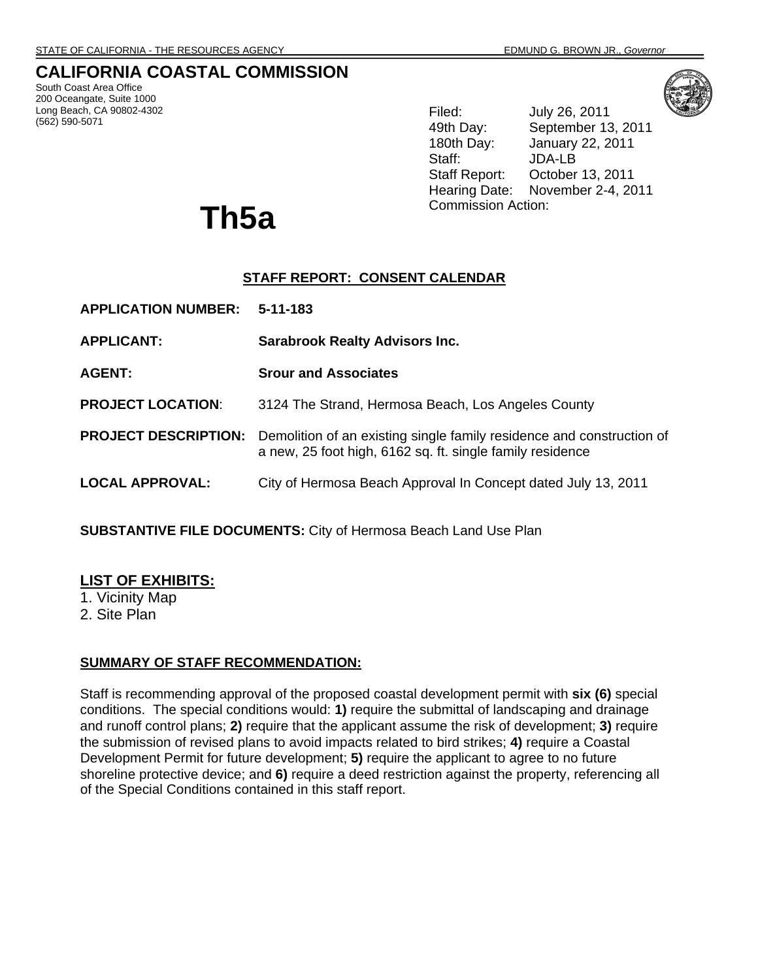# **CALIFORNIA COASTAL COMMISSION**

South Coast Area Office 200 Oceangate, Suite 1000 Long Beach, CA 90802-4302 (562) 590-5071



Filed: July 26, 2011 49th Day: September 13, 2011 180th Day: January 22, 2011 Staff: JDA-LB Staff Report: October 13, 2011 Hearing Date: November 2-4, 2011

# Commission Action: **Th5a**

# **STAFF REPORT: CONSENT CALENDAR**

| <b>APPLICATION NUMBER:</b>  | $5 - 11 - 183$                                                                                                                     |  |
|-----------------------------|------------------------------------------------------------------------------------------------------------------------------------|--|
| <b>APPLICANT:</b>           | <b>Sarabrook Realty Advisors Inc.</b>                                                                                              |  |
| <b>AGENT:</b>               | <b>Srour and Associates</b>                                                                                                        |  |
| <b>PROJECT LOCATION:</b>    | 3124 The Strand, Hermosa Beach, Los Angeles County                                                                                 |  |
| <b>PROJECT DESCRIPTION:</b> | Demolition of an existing single family residence and construction of<br>a new, 25 foot high, 6162 sq. ft. single family residence |  |
| <b>LOCAL APPROVAL:</b>      | City of Hermosa Beach Approval In Concept dated July 13, 2011                                                                      |  |

**SUBSTANTIVE FILE DOCUMENTS:** City of Hermosa Beach Land Use Plan

# **LIST OF EXHIBITS:**

1. Vicinity Map

2. Site Plan

# **SUMMARY OF STAFF RECOMMENDATION:**

Staff is recommending approval of the proposed coastal development permit with **six (6)** special conditions. The special conditions would: **1)** require the submittal of landscaping and drainage and runoff control plans; **2)** require that the applicant assume the risk of development; **3)** require the submission of revised plans to avoid impacts related to bird strikes; **4)** require a Coastal Development Permit for future development; **5)** require the applicant to agree to no future shoreline protective device; and **6)** require a deed restriction against the property, referencing all of the Special Conditions contained in this staff report.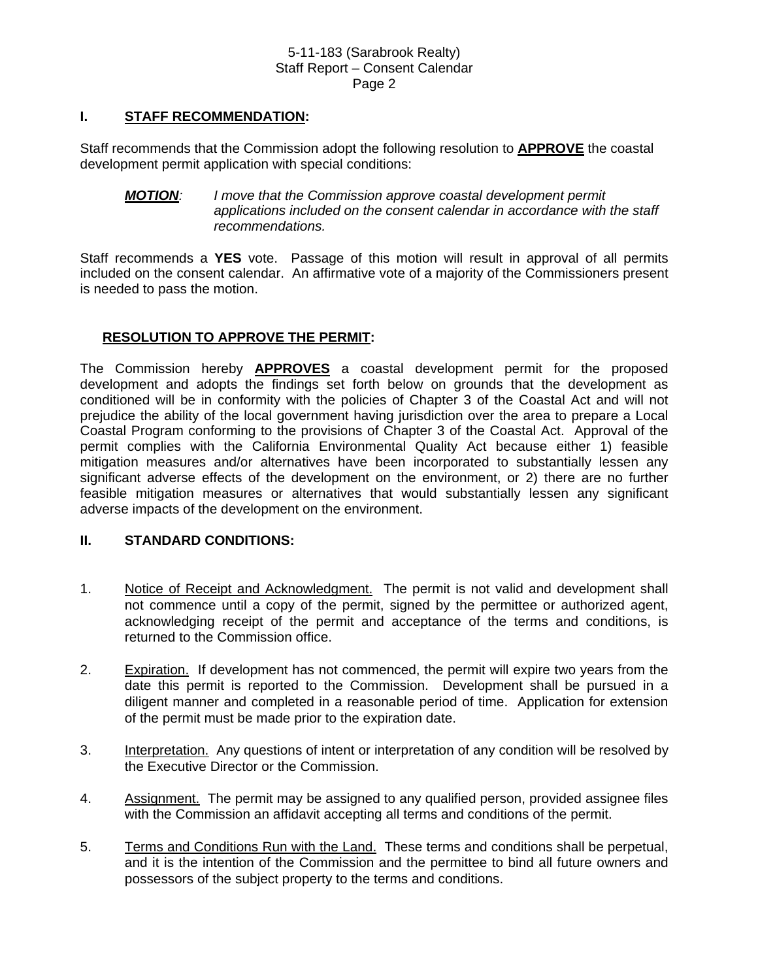### **I. STAFF RECOMMENDATION:**

Staff recommends that the Commission adopt the following resolution to **APPROVE** the coastal development permit application with special conditions:

#### *MOTION: I move that the Commission approve coastal development permit applications included on the consent calendar in accordance with the staff recommendations.*

Staff recommends a **YES** vote. Passage of this motion will result in approval of all permits included on the consent calendar. An affirmative vote of a majority of the Commissioners present is needed to pass the motion.

# **RESOLUTION TO APPROVE THE PERMIT:**

The Commission hereby **APPROVES** a coastal development permit for the proposed development and adopts the findings set forth below on grounds that the development as conditioned will be in conformity with the policies of Chapter 3 of the Coastal Act and will not prejudice the ability of the local government having jurisdiction over the area to prepare a Local Coastal Program conforming to the provisions of Chapter 3 of the Coastal Act. Approval of the permit complies with the California Environmental Quality Act because either 1) feasible mitigation measures and/or alternatives have been incorporated to substantially lessen any significant adverse effects of the development on the environment, or 2) there are no further feasible mitigation measures or alternatives that would substantially lessen any significant adverse impacts of the development on the environment.

#### **II. STANDARD CONDITIONS:**

- 1. Notice of Receipt and Acknowledgment. The permit is not valid and development shall not commence until a copy of the permit, signed by the permittee or authorized agent, acknowledging receipt of the permit and acceptance of the terms and conditions, is returned to the Commission office.
- 2. Expiration. If development has not commenced, the permit will expire two years from the date this permit is reported to the Commission. Development shall be pursued in a diligent manner and completed in a reasonable period of time. Application for extension of the permit must be made prior to the expiration date.
- 3. Interpretation. Any questions of intent or interpretation of any condition will be resolved by the Executive Director or the Commission.
- 4. Assignment. The permit may be assigned to any qualified person, provided assignee files with the Commission an affidavit accepting all terms and conditions of the permit.
- 5. Terms and Conditions Run with the Land. These terms and conditions shall be perpetual, and it is the intention of the Commission and the permittee to bind all future owners and possessors of the subject property to the terms and conditions.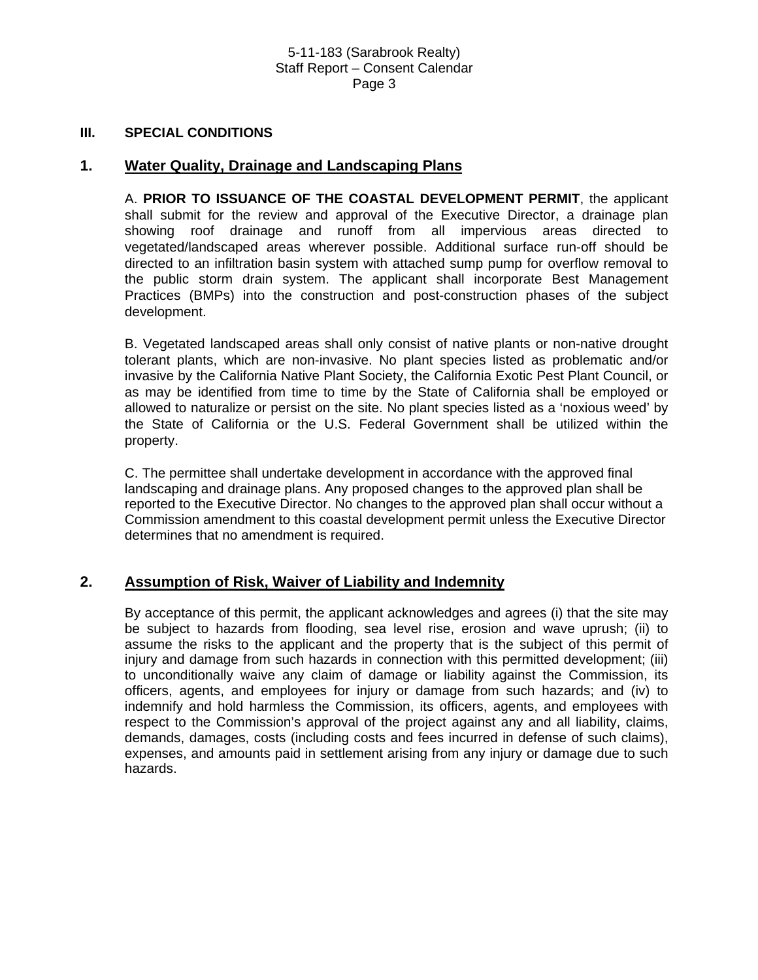#### **III. SPECIAL CONDITIONS**

#### **1. Water Quality, Drainage and Landscaping Plans**

A. **PRIOR TO ISSUANCE OF THE COASTAL DEVELOPMENT PERMIT**, the applicant shall submit for the review and approval of the Executive Director, a drainage plan showing roof drainage and runoff from all impervious areas directed to vegetated/landscaped areas wherever possible. Additional surface run-off should be directed to an infiltration basin system with attached sump pump for overflow removal to the public storm drain system. The applicant shall incorporate Best Management Practices (BMPs) into the construction and post-construction phases of the subject development.

B. Vegetated landscaped areas shall only consist of native plants or non-native drought tolerant plants, which are non-invasive. No plant species listed as problematic and/or invasive by the California Native Plant Society, the California Exotic Pest Plant Council, or as may be identified from time to time by the State of California shall be employed or allowed to naturalize or persist on the site. No plant species listed as a 'noxious weed' by the State of California or the U.S. Federal Government shall be utilized within the property.

C. The permittee shall undertake development in accordance with the approved final landscaping and drainage plans. Any proposed changes to the approved plan shall be reported to the Executive Director. No changes to the approved plan shall occur without a Commission amendment to this coastal development permit unless the Executive Director determines that no amendment is required.

# **2. Assumption of Risk, Waiver of Liability and Indemnity**

By acceptance of this permit, the applicant acknowledges and agrees (i) that the site may be subject to hazards from flooding, sea level rise, erosion and wave uprush; (ii) to assume the risks to the applicant and the property that is the subject of this permit of injury and damage from such hazards in connection with this permitted development; (iii) to unconditionally waive any claim of damage or liability against the Commission, its officers, agents, and employees for injury or damage from such hazards; and (iv) to indemnify and hold harmless the Commission, its officers, agents, and employees with respect to the Commission's approval of the project against any and all liability, claims, demands, damages, costs (including costs and fees incurred in defense of such claims), expenses, and amounts paid in settlement arising from any injury or damage due to such hazards.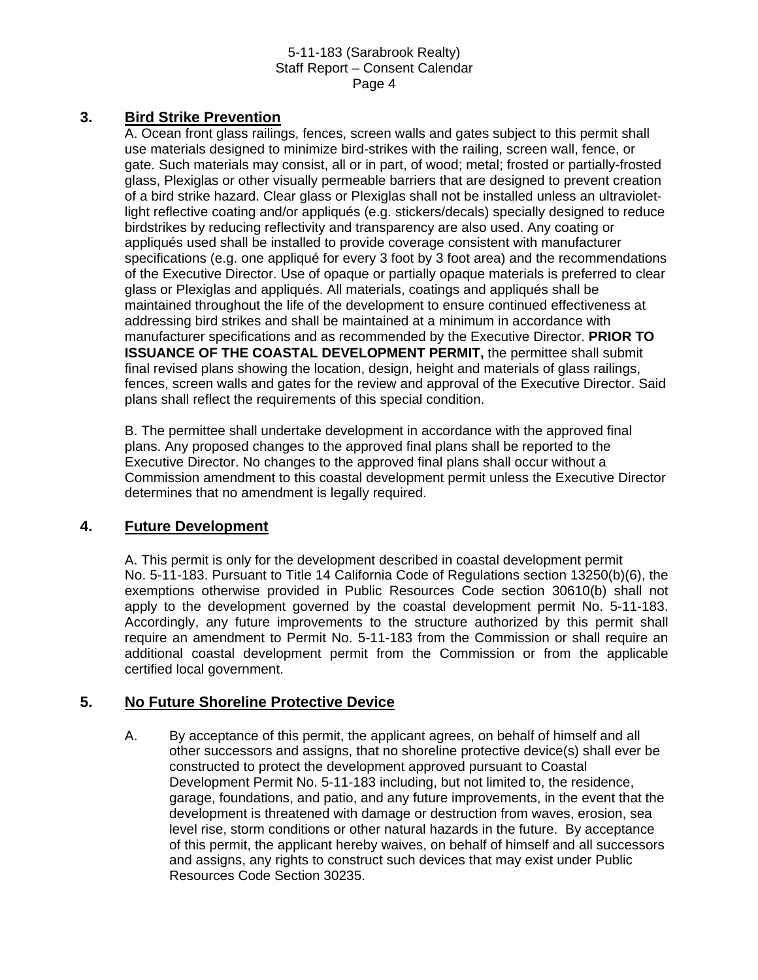# **3. Bird Strike Prevention**

A. Ocean front glass railings, fences, screen walls and gates subject to this permit shall use materials designed to minimize bird-strikes with the railing, screen wall, fence, or gate. Such materials may consist, all or in part, of wood; metal; frosted or partially-frosted glass, Plexiglas or other visually permeable barriers that are designed to prevent creation of a bird strike hazard. Clear glass or Plexiglas shall not be installed unless an ultravioletlight reflective coating and/or appliqués (e.g. stickers/decals) specially designed to reduce birdstrikes by reducing reflectivity and transparency are also used. Any coating or appliqués used shall be installed to provide coverage consistent with manufacturer specifications (e.g. one appliqué for every 3 foot by 3 foot area) and the recommendations of the Executive Director. Use of opaque or partially opaque materials is preferred to clear glass or Plexiglas and appliqués. All materials, coatings and appliqués shall be maintained throughout the life of the development to ensure continued effectiveness at addressing bird strikes and shall be maintained at a minimum in accordance with manufacturer specifications and as recommended by the Executive Director. **PRIOR TO ISSUANCE OF THE COASTAL DEVELOPMENT PERMIT, the permittee shall submit** final revised plans showing the location, design, height and materials of glass railings, fences, screen walls and gates for the review and approval of the Executive Director. Said plans shall reflect the requirements of this special condition.

B. The permittee shall undertake development in accordance with the approved final plans. Any proposed changes to the approved final plans shall be reported to the Executive Director. No changes to the approved final plans shall occur without a Commission amendment to this coastal development permit unless the Executive Director determines that no amendment is legally required.

# **4. Future Development**

A. This permit is only for the development described in coastal development permit No. 5-11-183. Pursuant to Title 14 California Code of Regulations section 13250(b)(6), the exemptions otherwise provided in Public Resources Code section 30610(b) shall not apply to the development governed by the coastal development permit No. 5-11-183. Accordingly, any future improvements to the structure authorized by this permit shall require an amendment to Permit No. 5-11-183 from the Commission or shall require an additional coastal development permit from the Commission or from the applicable certified local government.

# **5. No Future Shoreline Protective Device**

A. By acceptance of this permit, the applicant agrees, on behalf of himself and all other successors and assigns, that no shoreline protective device(s) shall ever be constructed to protect the development approved pursuant to Coastal Development Permit No. 5-11-183 including, but not limited to, the residence, garage, foundations, and patio, and any future improvements, in the event that the development is threatened with damage or destruction from waves, erosion, sea level rise, storm conditions or other natural hazards in the future. By acceptance of this permit, the applicant hereby waives, on behalf of himself and all successors and assigns, any rights to construct such devices that may exist under Public Resources Code Section 30235.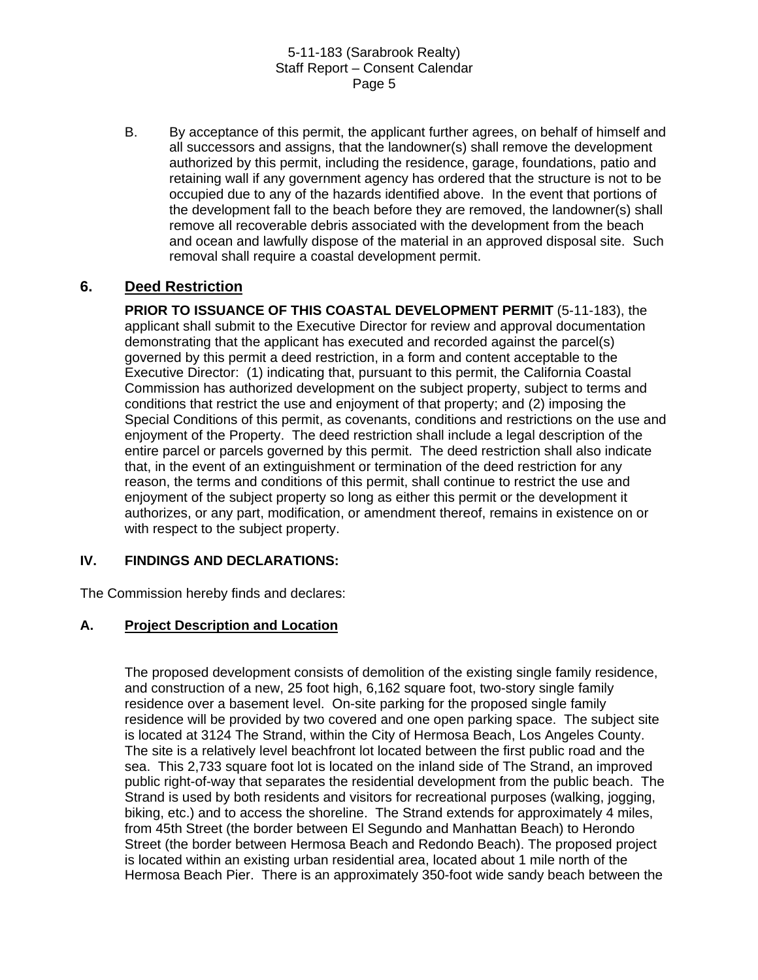B. By acceptance of this permit, the applicant further agrees, on behalf of himself and all successors and assigns, that the landowner(s) shall remove the development authorized by this permit, including the residence, garage, foundations, patio and retaining wall if any government agency has ordered that the structure is not to be occupied due to any of the hazards identified above. In the event that portions of the development fall to the beach before they are removed, the landowner(s) shall remove all recoverable debris associated with the development from the beach and ocean and lawfully dispose of the material in an approved disposal site. Such removal shall require a coastal development permit.

# **6. Deed Restriction**

**PRIOR TO ISSUANCE OF THIS COASTAL DEVELOPMENT PERMIT** (5-11-183), the applicant shall submit to the Executive Director for review and approval documentation demonstrating that the applicant has executed and recorded against the parcel(s) governed by this permit a deed restriction, in a form and content acceptable to the Executive Director: (1) indicating that, pursuant to this permit, the California Coastal Commission has authorized development on the subject property, subject to terms and conditions that restrict the use and enjoyment of that property; and (2) imposing the Special Conditions of this permit, as covenants, conditions and restrictions on the use and enjoyment of the Property. The deed restriction shall include a legal description of the entire parcel or parcels governed by this permit. The deed restriction shall also indicate that, in the event of an extinguishment or termination of the deed restriction for any reason, the terms and conditions of this permit, shall continue to restrict the use and enjoyment of the subject property so long as either this permit or the development it authorizes, or any part, modification, or amendment thereof, remains in existence on or with respect to the subject property.

# **IV. FINDINGS AND DECLARATIONS:**

The Commission hereby finds and declares:

# **A. Project Description and Location**

The proposed development consists of demolition of the existing single family residence, and construction of a new, 25 foot high, 6,162 square foot, two-story single family residence over a basement level. On-site parking for the proposed single family residence will be provided by two covered and one open parking space. The subject site is located at 3124 The Strand, within the City of Hermosa Beach, Los Angeles County. The site is a relatively level beachfront lot located between the first public road and the sea. This 2,733 square foot lot is located on the inland side of The Strand, an improved public right-of-way that separates the residential development from the public beach. The Strand is used by both residents and visitors for recreational purposes (walking, jogging, biking, etc.) and to access the shoreline. The Strand extends for approximately 4 miles, from 45th Street (the border between El Segundo and Manhattan Beach) to Herondo Street (the border between Hermosa Beach and Redondo Beach). The proposed project is located within an existing urban residential area, located about 1 mile north of the Hermosa Beach Pier. There is an approximately 350-foot wide sandy beach between the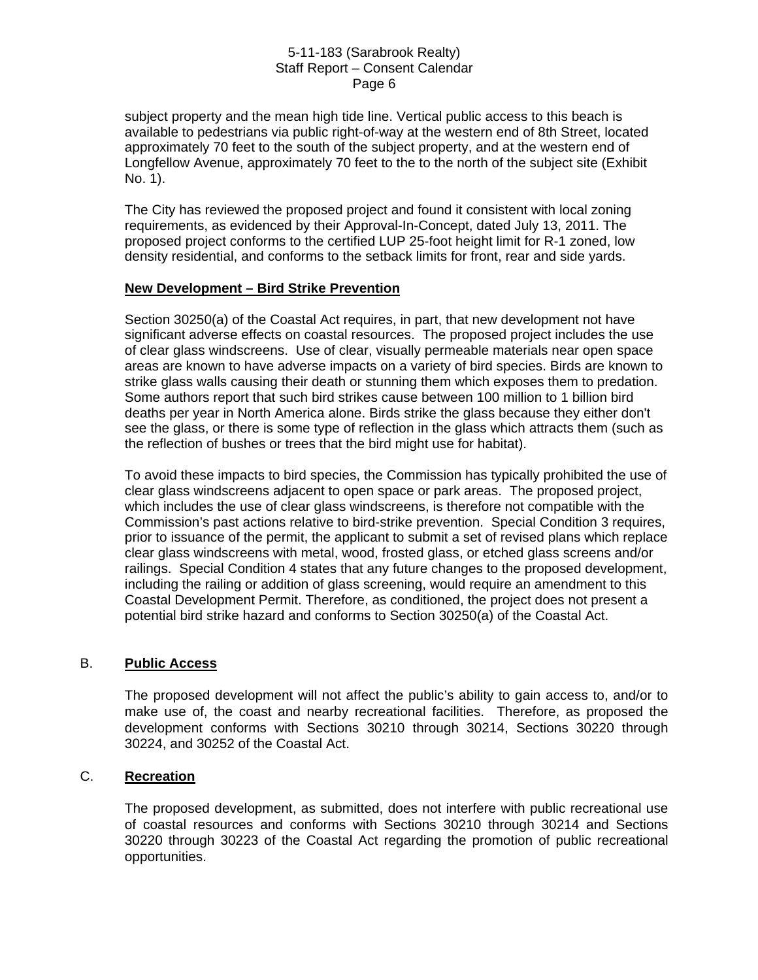subject property and the mean high tide line. Vertical public access to this beach is available to pedestrians via public right-of-way at the western end of 8th Street, located approximately 70 feet to the south of the subject property, and at the western end of Longfellow Avenue, approximately 70 feet to the to the north of the subject site (Exhibit No. 1).

The City has reviewed the proposed project and found it consistent with local zoning requirements, as evidenced by their Approval-In-Concept, dated July 13, 2011. The proposed project conforms to the certified LUP 25-foot height limit for R-1 zoned, low density residential, and conforms to the setback limits for front, rear and side yards.

#### **New Development – Bird Strike Prevention**

Section 30250(a) of the Coastal Act requires, in part, that new development not have significant adverse effects on coastal resources. The proposed project includes the use of clear glass windscreens. Use of clear, visually permeable materials near open space areas are known to have adverse impacts on a variety of bird species. Birds are known to strike glass walls causing their death or stunning them which exposes them to predation. Some authors report that such bird strikes cause between 100 million to 1 billion bird deaths per year in North America alone. Birds strike the glass because they either don't see the glass, or there is some type of reflection in the glass which attracts them (such as the reflection of bushes or trees that the bird might use for habitat).

To avoid these impacts to bird species, the Commission has typically prohibited the use of clear glass windscreens adjacent to open space or park areas. The proposed project, which includes the use of clear glass windscreens, is therefore not compatible with the Commission's past actions relative to bird-strike prevention. Special Condition 3 requires, prior to issuance of the permit, the applicant to submit a set of revised plans which replace clear glass windscreens with metal, wood, frosted glass, or etched glass screens and/or railings. Special Condition 4 states that any future changes to the proposed development, including the railing or addition of glass screening, would require an amendment to this Coastal Development Permit. Therefore, as conditioned, the project does not present a potential bird strike hazard and conforms to Section 30250(a) of the Coastal Act.

#### B. **Public Access**

The proposed development will not affect the public's ability to gain access to, and/or to make use of, the coast and nearby recreational facilities. Therefore, as proposed the development conforms with Sections 30210 through 30214, Sections 30220 through 30224, and 30252 of the Coastal Act.

# C. **Recreation**

The proposed development, as submitted, does not interfere with public recreational use of coastal resources and conforms with Sections 30210 through 30214 and Sections 30220 through 30223 of the Coastal Act regarding the promotion of public recreational opportunities.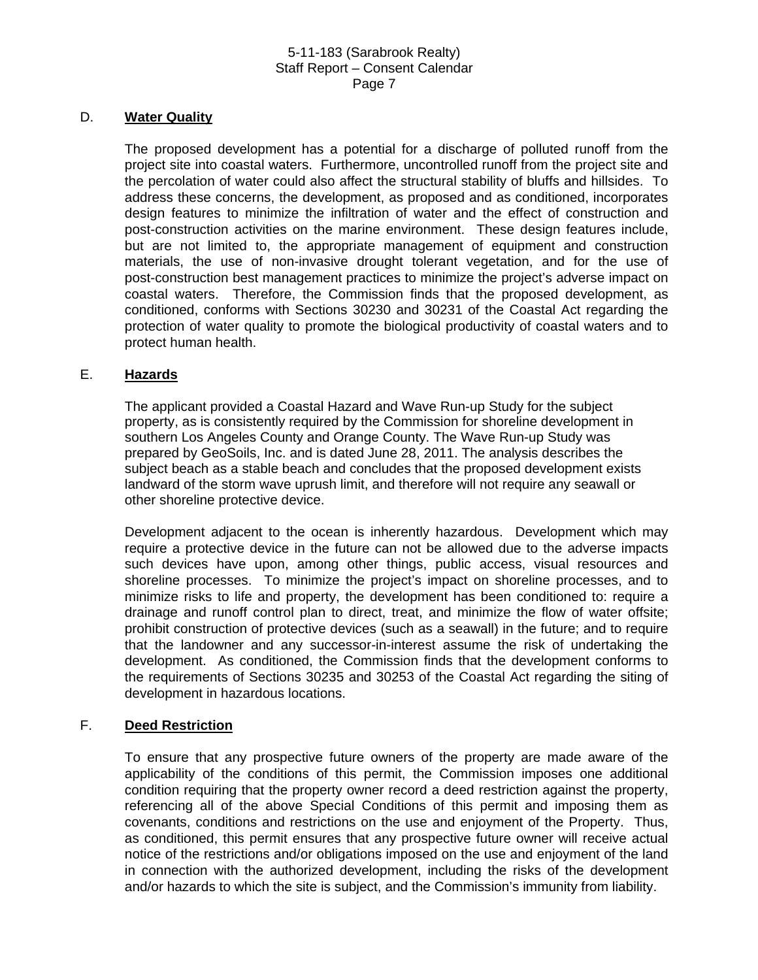#### D. **Water Quality**

The proposed development has a potential for a discharge of polluted runoff from the project site into coastal waters. Furthermore, uncontrolled runoff from the project site and the percolation of water could also affect the structural stability of bluffs and hillsides. To address these concerns, the development, as proposed and as conditioned, incorporates design features to minimize the infiltration of water and the effect of construction and post-construction activities on the marine environment. These design features include, but are not limited to, the appropriate management of equipment and construction materials, the use of non-invasive drought tolerant vegetation, and for the use of post-construction best management practices to minimize the project's adverse impact on coastal waters. Therefore, the Commission finds that the proposed development, as conditioned, conforms with Sections 30230 and 30231 of the Coastal Act regarding the protection of water quality to promote the biological productivity of coastal waters and to protect human health.

# E. **Hazards**

The applicant provided a Coastal Hazard and Wave Run-up Study for the subject property, as is consistently required by the Commission for shoreline development in southern Los Angeles County and Orange County. The Wave Run-up Study was prepared by GeoSoils, Inc. and is dated June 28, 2011. The analysis describes the subject beach as a stable beach and concludes that the proposed development exists landward of the storm wave uprush limit, and therefore will not require any seawall or other shoreline protective device.

Development adjacent to the ocean is inherently hazardous. Development which may require a protective device in the future can not be allowed due to the adverse impacts such devices have upon, among other things, public access, visual resources and shoreline processes. To minimize the project's impact on shoreline processes, and to minimize risks to life and property, the development has been conditioned to: require a drainage and runoff control plan to direct, treat, and minimize the flow of water offsite; prohibit construction of protective devices (such as a seawall) in the future; and to require that the landowner and any successor-in-interest assume the risk of undertaking the development. As conditioned, the Commission finds that the development conforms to the requirements of Sections 30235 and 30253 of the Coastal Act regarding the siting of development in hazardous locations.

#### F. **Deed Restriction**

To ensure that any prospective future owners of the property are made aware of the applicability of the conditions of this permit, the Commission imposes one additional condition requiring that the property owner record a deed restriction against the property, referencing all of the above Special Conditions of this permit and imposing them as covenants, conditions and restrictions on the use and enjoyment of the Property. Thus, as conditioned, this permit ensures that any prospective future owner will receive actual notice of the restrictions and/or obligations imposed on the use and enjoyment of the land in connection with the authorized development, including the risks of the development and/or hazards to which the site is subject, and the Commission's immunity from liability.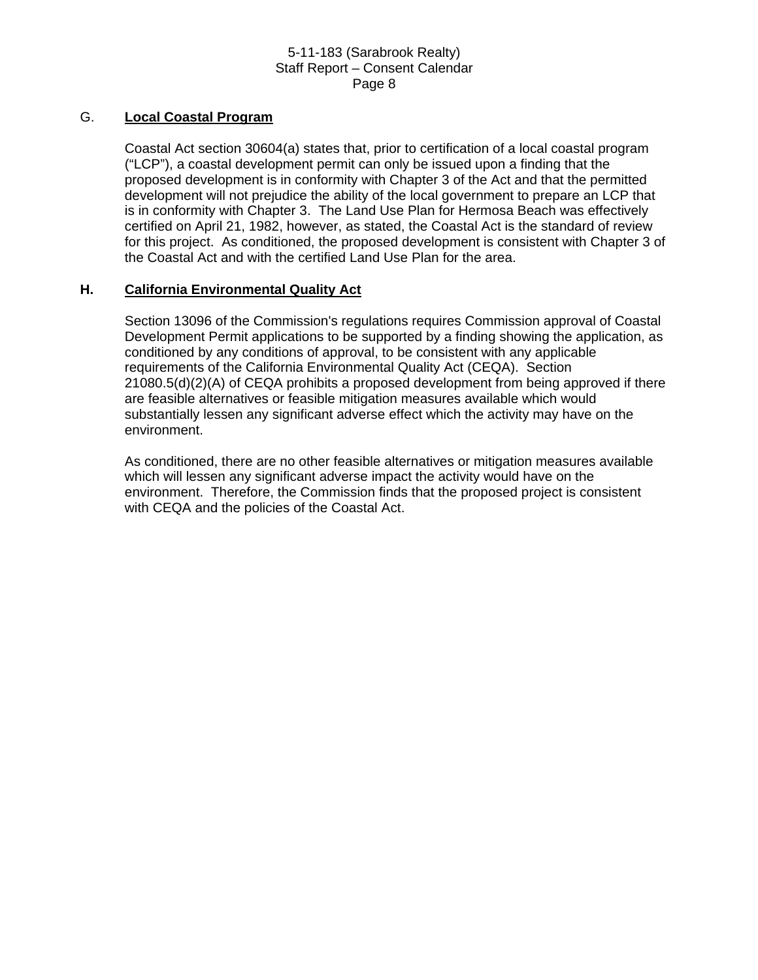### G. **Local Coastal Program**

Coastal Act section 30604(a) states that, prior to certification of a local coastal program ("LCP"), a coastal development permit can only be issued upon a finding that the proposed development is in conformity with Chapter 3 of the Act and that the permitted development will not prejudice the ability of the local government to prepare an LCP that is in conformity with Chapter 3. The Land Use Plan for Hermosa Beach was effectively certified on April 21, 1982, however, as stated, the Coastal Act is the standard of review for this project. As conditioned, the proposed development is consistent with Chapter 3 of the Coastal Act and with the certified Land Use Plan for the area.

# **H. California Environmental Quality Act**

Section 13096 of the Commission's regulations requires Commission approval of Coastal Development Permit applications to be supported by a finding showing the application, as conditioned by any conditions of approval, to be consistent with any applicable requirements of the California Environmental Quality Act (CEQA). Section 21080.5(d)(2)(A) of CEQA prohibits a proposed development from being approved if there are feasible alternatives or feasible mitigation measures available which would substantially lessen any significant adverse effect which the activity may have on the environment.

As conditioned, there are no other feasible alternatives or mitigation measures available which will lessen any significant adverse impact the activity would have on the environment. Therefore, the Commission finds that the proposed project is consistent with CEQA and the policies of the Coastal Act.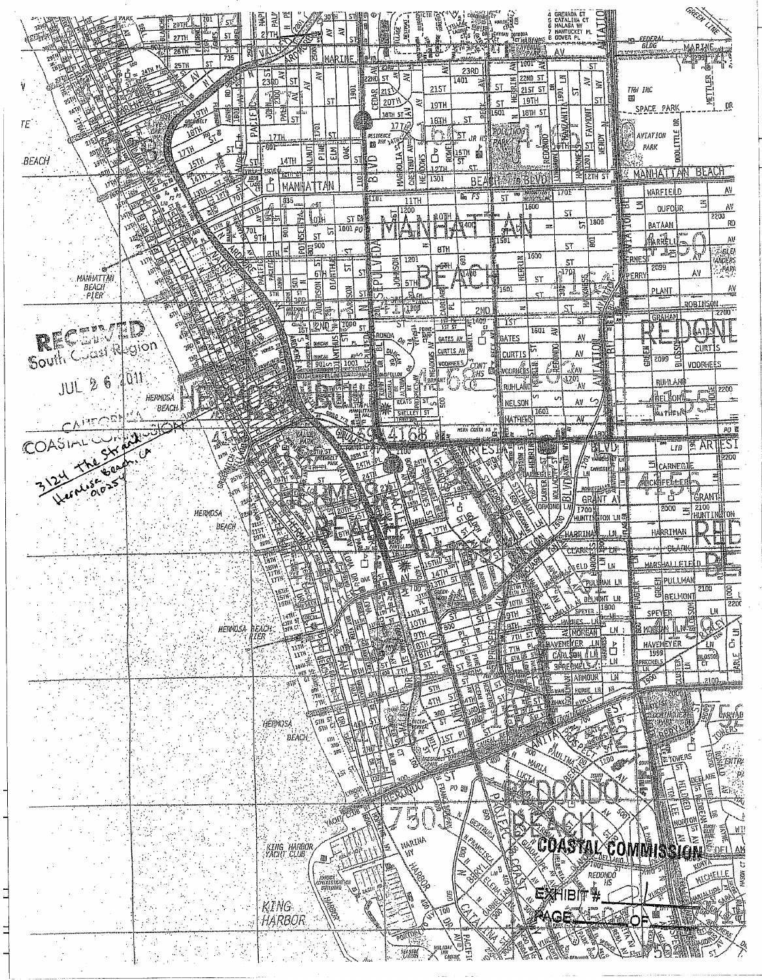| 29T)<br>द्भृत<br><b>ST</b><br>27TH   | 医口<br>Ż.                                                                                                                                                                                                                                                                                 | 6 MALAGA WY<br>7 NAHTUCKET PL<br>8 DOVER PL                                                                                                                                                          |
|--------------------------------------|------------------------------------------------------------------------------------------------------------------------------------------------------------------------------------------------------------------------------------------------------------------------------------------|------------------------------------------------------------------------------------------------------------------------------------------------------------------------------------------------------|
| - 51<br>$26$ T $R$<br>735<br>25Th    | 膈                                                                                                                                                                                                                                                                                        | <b>BLDC</b><br>marine<br>iyenue<br>HPABK<br>AV.<br>Ģ<br>$1001~\substack{+0.023\,0.004}$<br>-ST<br>23RD                                                                                               |
| S                                    | $rac{5}{2380}$<br>ই<br><b>ST</b><br>ৱ<br>$\overline{5}$<br>ig<br>'≇ি<br>ST                                                                                                                                                                                                               | $\frac{28}{2200}$ st $\frac{2}{3}$<br>₹<br>22ND 5T<br>$\Xi$<br>1401<br>≋<br>hm<br>듮<br>ST<br>215T<br>2151 57<br> ⊑ֱ<br>יִ<br>TRW INC<br>CEDAR<br>215<br>5<br>磂<br>19TH<br>20TY<br>芝<br>ST.           |
| 酮<br>TE<br>Ś.                        | हु<br>쳁<br>آساً<br>مسا<br>ST<br>좂                                                                                                                                                                                                                                                        | 19TH<br>SPACE PARK<br>FAYMONT<br>$\frac{25}{1818}$ st $\approx$<br><b>FIRS</b><br>18TH 5T<br>ඩි<br>1501<br>ST<br>18IH<br>旨<br>AVIATION                                                               |
| $\frac{1}{51}$<br>٩Y<br><b>BEACH</b> | .17.IH<br>PINE<br>DAK!<br><b>ALRIUT</b><br>$\frac{z}{u}$<br>SΤ<br>14TH                                                                                                                                                                                                                   | <b>AND THE SERVE THE REAL PROPERTY AND REAL PROPERTY.</b><br>ЪT<br>NENDY<br>redond<br>57<br>PARK<br><b>ROMED</b><br>$\sum_{1274}$<br>$\frac{1}{2}$<br>15TH<br>圝<br><b>EKAR</b><br>10065<br>201<br>37 |
|                                      | $\frac{10}{2}$<br>కింది<br>$\begin{bmatrix} \overline{\mathbf{A}} \overline{\mathbf{B}} \overline{\mathbf{B}} \\ \overline{\mathbf{A}} \overline{\mathbf{B}} \overline{\mathbf{B}} \\ \overline{\mathbf{A}} \overline{\mathbf{B}} \overline{\mathbf{B}} \end{bmatrix}$<br>₿<br>MANHATTAN | <b>MANHATTAM</b><br>BEAU<br><b>ELIZTH ST</b><br>1301<br>뛻<br>278 BLVD3<br>ВE<br>AV<br>WARFIELD<br>1701°<br>PAGEATAN<br>BELEDISIAK<br>$km$ $FS$<br>5T                                                 |
|                                      | 235<br>$-51$<br>yotii<br>st M<br>1001p0                                                                                                                                                                                                                                                  | KIIUT<br>11TH<br>5<br>弖<br>٨V<br>1600<br><b>OUFOUR</b><br>1200<br>$\mathsf{ST}$<br>넕<br>g0TH<br>2200<br>Ē<br>1800<br>RO.<br>$\overline{5}$<br>BATAAN<br>$\overline{m}$                               |
|                                      | <b>SHERE</b><br>BERGE<br>ট<br>$\sqrt[3]{\frac{1}{91}}$<br>l≖<br>ST.                                                                                                                                                                                                                      | E<br> Aniki<br>٨V<br>1501<br>冒<br>57<br>8TH<br>G, U<br>Ū<br>يتغلل<br>1600<br>Κû<br>1201<br>DER.                                                                                                      |
| MANUATTAN<br>BEACH<br>PIER           | ान<br>बांग<br>開<br>디<br>ន្រ្ត<br>Ξ<br>hsoN<br>š.                                                                                                                                                                                                                                         | <b>NERPON</b><br>ğ)<br>ဒ<br>ST<br><b>printil</b><br>2099<br>,PAPR<br>$-1703$<br>٨V<br>PEARY<br>.<br>Exter<br>5T<br>5TH!<br>٨V<br>1501<br>lë,<br>PLANT                                                |
|                                      | <b>STALLED</b><br>营产<br>$\mathbb{R}$                                                                                                                                                                                                                                                     | ţ<br>$\sum_{\alpha \in \mathcal{M}}$<br>ST.<br>$\frac{1}{2}$<br><b>ROBINSON</b><br>ilaay<br>ST<br>æ<br><b>2ND</b><br><b>GRAHAM</b><br>5î<br>-ist                                                     |
| <b>RECENTED</b>                      | T000<br>5T<br>ਦਾ<br>ម្ម<br><b>DUNCAN</b>                                                                                                                                                                                                                                                 | <b>WORLD</b><br>g<br>Ват<br>$1501 \approx$<br>rohda<br>٨V<br><b>GATES</b><br>GATES AV<br>៖<br><b>SON</b><br>즠<br><b>CLIRT</b><br>ind<br>AV<br>CURTIS                                                 |
| G.<br>$JUL$ 2                        | 룈                                                                                                                                                                                                                                                                                        | g<br>al<br>틽<br>2099<br>얇<br>Æ<br>es   A<br>Elaminista<br>VOORHEES<br>.CONT<br>)HS<br>$\mathbb{R}$ av<br>1701<br><b>RUHLANI</b><br>۰AV<br>RUHLANC                                                    |
| HERMOSA<br>ВЕАСН                     | <b>ATTAPLE</b>                                                                                                                                                                                                                                                                           | 2200<br>keCłon(<br>v<br>NELSON<br>٨V<br>1601<br>SHELLEY   ST                                                                                                                                         |
| COASING STREET                       |                                                                                                                                                                                                                                                                                          | <b>MATHEWS</b><br>٨V<br>$\rho_0$ m<br>HINA COSTA HS<br>68<br>.tr<br><b>SE ARTIES</b><br>LIB<br>VD,                                                                                                   |
|                                      | <b>FREE HEELT</b>                                                                                                                                                                                                                                                                        | HERRIN<br>同源<br>5300<br>i.<br>carnegii<br>Canheg1)                                                                                                                                                   |
|                                      |                                                                                                                                                                                                                                                                                          | فمصطلع<br>i Gran<br>ణ<br><b>GRANT</b><br>۸۱<br>orkonoj<br>2100 H<br>2000<br>1700<br>æ1                                                                                                               |
|                                      |                                                                                                                                                                                                                                                                                          | HUNTI贴TON LN雨<br>hárriman                                                                                                                                                                            |
|                                      |                                                                                                                                                                                                                                                                                          | <b>CLARK</b><br>漂川<br>獸                                                                                                                                                                              |
|                                      |                                                                                                                                                                                                                                                                                          | 剖PULLMAN<br>Эрийми ін<br>2100<br>goo<br><b>Electroni</b><br><b>RALMONT L.H.</b><br>10TH S<br>2200<br>1900                                                                                            |
| <b>HERNOSA</b>                       | iEACH.                                                                                                                                                                                                                                                                                   | AF<br>Bá<br>3<br>M<br>${\sf LN}$<br>SPEYER<br>$\frac{1}{\tilde{G}}$<br>AORGAN I<br><b>TILE</b><br>HAVENEYER                                                                                          |
|                                      | $\mu_{\rm H}$                                                                                                                                                                                                                                                                            | <b>THIS</b><br>avememer<br>ĻŅ<br>ů<br>$\mathbf{P}$<br>THE<br>1999<br>$\frac{1}{\sqrt{1-\frac{1}{2}}}$<br>Sen.<br>Can<br>E<br>ian.<br>Fa<br>벌<br>Th<br>ipreckel<br>Illi<br>39R<br>51<br>卮.            |
|                                      |                                                                                                                                                                                                                                                                                          | Ĩ<br>K<br>LΝ<br>AIGNOUH<br>2100<br>HORSE LE                                                                                                                                                          |
|                                      | HERMOSA<br>$BEACH$                                                                                                                                                                                                                                                                       | LARVAG                                                                                                                                                                                               |
|                                      | $\frac{m}{m}$                                                                                                                                                                                                                                                                            | FRE L<br>900<br>Ο<br>MRU                                                                                                                                                                             |
|                                      |                                                                                                                                                                                                                                                                                          | ا ڪ<br>(幕)<br>原<br>ē<br>Ø                                                                                                                                                                            |
|                                      |                                                                                                                                                                                                                                                                                          | Ĩ.<br>厚<br>gani<br>NOÏ<br>51<br>NT!                                                                                                                                                                  |
|                                      | :<br>  KING HARBOR<br>  YACHT CLUB                                                                                                                                                                                                                                                       | en<br>Ro<br>EXIE.<br>ASTAL COMMISSION<br>MARINA                                                                                                                                                      |
|                                      | , nemor<br>neamistrovicu<br>\, mittania                                                                                                                                                                                                                                                  | $\begin{array}{c}\n\sqrt{\text{det} \text{Var}_\text{A}} \\ \frac{1}{1001} \\ \text{ReDOMDO} \\ \text{F} \\ \text{HS}\n\end{array}$<br>b<br>50509<br><b>MICHELLE</b>                                 |
| $\sim$                               | KING<br>HARBOR                                                                                                                                                                                                                                                                           | ĤIB                                                                                                                                                                                                  |
| $\ddotsc$                            |                                                                                                                                                                                                                                                                                          |                                                                                                                                                                                                      |